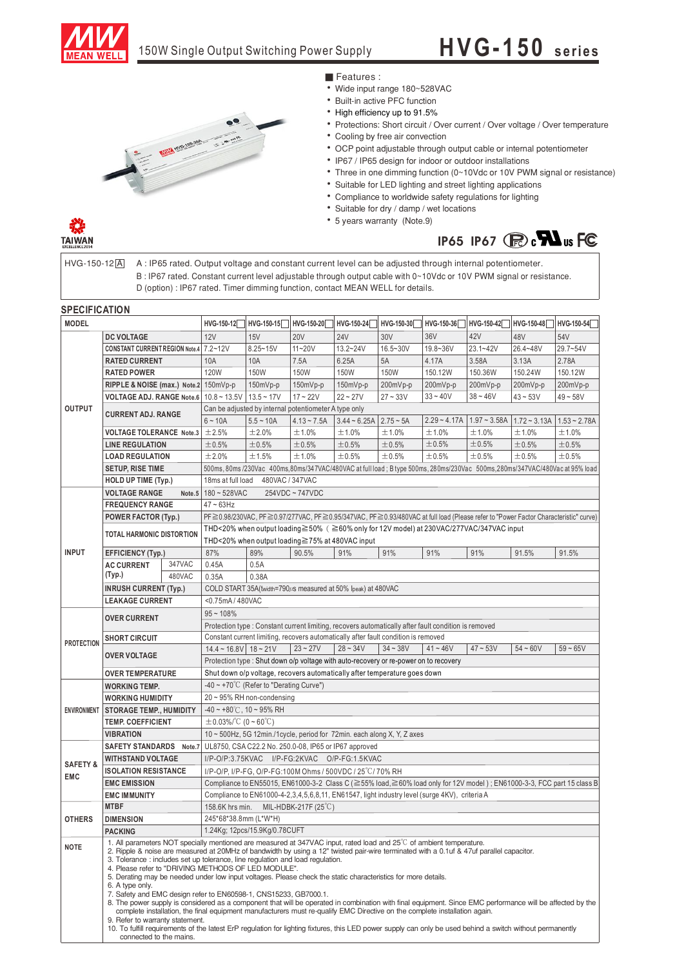

## **H VG -15 0 s e rie s**



## ■ Features :

- •Wide input range 180~528VAC
- Built-in active PFC function
- •High efficiency up to 91.5%
- •Protections: Short circuit / Over current / Over voltage / Over temperature •Cooling by free air convection
- •OCP point adjustable through output cable or internal potentiometer
- •IP67 / IP65 design for indoor or outdoor installations
- Three in one dimming function (0~10Vdc or 10V PWM signal or resistance)
- •Suitable for LED lighting and street lighting applications
- •Compliance to worldwide safety regulations for lighting
- •Suitable for dry / damp / wet locations
- •5 years warranty (Note.9)





 $HVG-150-12[A]$ 

A : IP65 rated. Output voltage and constant current level can be adjusted through internal potentiometer. B : IP67 rated. Constant current level adjustable through output cable with 0~10Vdc or 10V PWM signal or resistance. D (option) : IP67 rated. Timer dimming function, contact MEAN WELL for details.

| <b>SPECIFICATION</b>              |                                                                                                                                                                                                                                                                                                                                                                                                                                                                                                                                                                                                                                                                                                                                                                                                                                                                                                                                                                                                                                                                                                                         |                                   |                                                                                                                                   |                                                       |               |                               |            |            |              |                                                             |            |  |
|-----------------------------------|-------------------------------------------------------------------------------------------------------------------------------------------------------------------------------------------------------------------------------------------------------------------------------------------------------------------------------------------------------------------------------------------------------------------------------------------------------------------------------------------------------------------------------------------------------------------------------------------------------------------------------------------------------------------------------------------------------------------------------------------------------------------------------------------------------------------------------------------------------------------------------------------------------------------------------------------------------------------------------------------------------------------------------------------------------------------------------------------------------------------------|-----------------------------------|-----------------------------------------------------------------------------------------------------------------------------------|-------------------------------------------------------|---------------|-------------------------------|------------|------------|--------------|-------------------------------------------------------------|------------|--|
| <b>MODEL</b>                      |                                                                                                                                                                                                                                                                                                                                                                                                                                                                                                                                                                                                                                                                                                                                                                                                                                                                                                                                                                                                                                                                                                                         |                                   | HVG-150-12                                                                                                                        | HVG-150-15                                            | HVG-150-20    | HVG-150-24                    | HVG-150-30 | HVG-150-36 | HVG-150-42   | HVG-150-48                                                  | HVG-150-54 |  |
|                                   | <b>DC VOLTAGE</b>                                                                                                                                                                                                                                                                                                                                                                                                                                                                                                                                                                                                                                                                                                                                                                                                                                                                                                                                                                                                                                                                                                       |                                   | 12V                                                                                                                               | 15V                                                   | <b>20V</b>    | <b>24V</b>                    | 30V        | 36V        | 42V          | 48V                                                         | 54V        |  |
| <b>OUTPUT</b>                     | CONSTANT CURRENT REGION Note.4 7.2~12V                                                                                                                                                                                                                                                                                                                                                                                                                                                                                                                                                                                                                                                                                                                                                                                                                                                                                                                                                                                                                                                                                  |                                   |                                                                                                                                   | $8.25 - 15V$                                          | 11~20V        | 13.2~24V                      | 16.5~30V   | 19.8~36V   | $23.1 - 42V$ | 26.4~48V                                                    | 29.7~54V   |  |
|                                   | <b>RATED CURRENT</b>                                                                                                                                                                                                                                                                                                                                                                                                                                                                                                                                                                                                                                                                                                                                                                                                                                                                                                                                                                                                                                                                                                    |                                   | 10A                                                                                                                               | 10A                                                   | 7.5A          | 6.25A                         | 5A         | 4.17A      | 3.58A        | 3.13A                                                       | 2.78A      |  |
|                                   | <b>RATED POWER</b>                                                                                                                                                                                                                                                                                                                                                                                                                                                                                                                                                                                                                                                                                                                                                                                                                                                                                                                                                                                                                                                                                                      |                                   | 120W                                                                                                                              | 150W                                                  | 150W          | 150W                          | 150W       | 150.12W    | 150.36W      | 150.24W                                                     | 150.12W    |  |
|                                   | RIPPLE & NOISE (max.) Note.2 150mVp-p                                                                                                                                                                                                                                                                                                                                                                                                                                                                                                                                                                                                                                                                                                                                                                                                                                                                                                                                                                                                                                                                                   |                                   |                                                                                                                                   | 150mVp-p                                              | 150mVp-p      | 150mVp-p                      | 200mVp-p   | 200mVp-p   | 200mVp-p     | 200mVp-p                                                    | 200mVp-p   |  |
|                                   | VOLTAGE ADJ. RANGE Note.6   10.8 ~ 13.5 V   13.5 ~ 17 V                                                                                                                                                                                                                                                                                                                                                                                                                                                                                                                                                                                                                                                                                                                                                                                                                                                                                                                                                                                                                                                                 |                                   |                                                                                                                                   |                                                       | $17 - 22V$    | $22 - 27V$                    | $27 - 33V$ | $33 - 40V$ | $38 - 46V$   | $43 - 53V$                                                  | $49 - 58V$ |  |
|                                   | <b>CURRENT ADJ. RANGE</b><br><b>VOLTAGE TOLERANCE Note.3</b>                                                                                                                                                                                                                                                                                                                                                                                                                                                                                                                                                                                                                                                                                                                                                                                                                                                                                                                                                                                                                                                            |                                   | Can be adjusted by internal potentiometer A type only                                                                             |                                                       |               |                               |            |            |              |                                                             |            |  |
|                                   |                                                                                                                                                                                                                                                                                                                                                                                                                                                                                                                                                                                                                                                                                                                                                                                                                                                                                                                                                                                                                                                                                                                         |                                   | $6 - 10A$                                                                                                                         | $5.5 - 10A$                                           | $4.13 - 7.5A$ | $3.44 \sim 6.25A$   2.75 ~ 5A |            |            |              | $2.29 - 4.17A$   1.97 ~ 3.58A   1.72 ~ 3.13A   1.53 ~ 2.78A |            |  |
|                                   |                                                                                                                                                                                                                                                                                                                                                                                                                                                                                                                                                                                                                                                                                                                                                                                                                                                                                                                                                                                                                                                                                                                         |                                   | ±2.5%                                                                                                                             | ±2.0%                                                 | ±1.0%         | ±1.0%                         | ±1.0%      | ±1.0%      | ±1.0%        | ±1.0%                                                       | ±1.0%      |  |
|                                   | <b>LINE REGULATION</b>                                                                                                                                                                                                                                                                                                                                                                                                                                                                                                                                                                                                                                                                                                                                                                                                                                                                                                                                                                                                                                                                                                  |                                   | ±0.5%                                                                                                                             | ±0.5%                                                 | ±0.5%         | $\pm 0.5\%$                   | ±0.5%      | ±0.5%      | ±0.5%        | ±0.5%                                                       | ±0.5%      |  |
|                                   | <b>LOAD REGULATION</b>                                                                                                                                                                                                                                                                                                                                                                                                                                                                                                                                                                                                                                                                                                                                                                                                                                                                                                                                                                                                                                                                                                  |                                   | ±2.0%                                                                                                                             | ±1.5%                                                 | ±1.0%         | ±0.5%                         | ±0.5%      | ±0.5%      | ±0.5%        | ±0.5%                                                       | ±0.5%      |  |
|                                   | <b>SETUP, RISE TIME</b>                                                                                                                                                                                                                                                                                                                                                                                                                                                                                                                                                                                                                                                                                                                                                                                                                                                                                                                                                                                                                                                                                                 |                                   | 500ms, 80ms/230Vac 400ms,80ms/347VAC/480VAC at full load; B type 500ms, 280ms/230Vac 500ms,280ms/347VAC/480Vac at 95% load        |                                                       |               |                               |            |            |              |                                                             |            |  |
|                                   | <b>HOLD UP TIME (Typ.)</b>                                                                                                                                                                                                                                                                                                                                                                                                                                                                                                                                                                                                                                                                                                                                                                                                                                                                                                                                                                                                                                                                                              |                                   | 18ms at full load<br>480VAC / 347VAC                                                                                              |                                                       |               |                               |            |            |              |                                                             |            |  |
|                                   | <b>VOLTAGE RANGE</b>                                                                                                                                                                                                                                                                                                                                                                                                                                                                                                                                                                                                                                                                                                                                                                                                                                                                                                                                                                                                                                                                                                    | Note.5                            |                                                                                                                                   | 180~528VAC<br>254VDC ~ 747VDC                         |               |                               |            |            |              |                                                             |            |  |
|                                   | <b>FREQUENCY RANGE</b>                                                                                                                                                                                                                                                                                                                                                                                                                                                                                                                                                                                                                                                                                                                                                                                                                                                                                                                                                                                                                                                                                                  |                                   | $47 \sim 63$ Hz                                                                                                                   |                                                       |               |                               |            |            |              |                                                             |            |  |
| <b>INPUT</b>                      | POWER FACTOR (Typ.)                                                                                                                                                                                                                                                                                                                                                                                                                                                                                                                                                                                                                                                                                                                                                                                                                                                                                                                                                                                                                                                                                                     |                                   | PF≥0.98/230VAC, PF≥0.97/277VAC, PF≥0.95/347VAC, PF≥0.93/480VAC at full load (Please refer to "Power Factor Characteristic" curve) |                                                       |               |                               |            |            |              |                                                             |            |  |
|                                   | <b>TOTAL HARMONIC DISTORTION</b>                                                                                                                                                                                                                                                                                                                                                                                                                                                                                                                                                                                                                                                                                                                                                                                                                                                                                                                                                                                                                                                                                        |                                   | THD<20% when output loading≧50% (≧60% only for 12V model) at 230VAC/277VAC/347VAC input                                           |                                                       |               |                               |            |            |              |                                                             |            |  |
|                                   |                                                                                                                                                                                                                                                                                                                                                                                                                                                                                                                                                                                                                                                                                                                                                                                                                                                                                                                                                                                                                                                                                                                         |                                   | THD<20% when output loading≧75% at 480VAC input                                                                                   |                                                       |               |                               |            |            |              |                                                             |            |  |
|                                   | EFFICIENCY (Typ.)                                                                                                                                                                                                                                                                                                                                                                                                                                                                                                                                                                                                                                                                                                                                                                                                                                                                                                                                                                                                                                                                                                       |                                   | 87%                                                                                                                               | 89%                                                   | 90.5%         | 91%                           | 91%        | 91%        | 91%          | 91.5%                                                       | 91.5%      |  |
|                                   | <b>AC CURRENT</b>                                                                                                                                                                                                                                                                                                                                                                                                                                                                                                                                                                                                                                                                                                                                                                                                                                                                                                                                                                                                                                                                                                       | 347VAC                            | 0.45A                                                                                                                             | 0.5A                                                  |               |                               |            |            |              |                                                             |            |  |
|                                   | (Typ.)                                                                                                                                                                                                                                                                                                                                                                                                                                                                                                                                                                                                                                                                                                                                                                                                                                                                                                                                                                                                                                                                                                                  | 480VAC                            | 0.35A                                                                                                                             | 0.38A                                                 |               |                               |            |            |              |                                                             |            |  |
|                                   | <b>INRUSH CURRENT (Typ.)</b>                                                                                                                                                                                                                                                                                                                                                                                                                                                                                                                                                                                                                                                                                                                                                                                                                                                                                                                                                                                                                                                                                            |                                   | COLD START 35A(twidth=790us measured at 50% Ipeak) at 480VAC                                                                      |                                                       |               |                               |            |            |              |                                                             |            |  |
|                                   | <b>LEAKAGE CURRENT</b>                                                                                                                                                                                                                                                                                                                                                                                                                                                                                                                                                                                                                                                                                                                                                                                                                                                                                                                                                                                                                                                                                                  |                                   | <0.75mA/480VAC                                                                                                                    |                                                       |               |                               |            |            |              |                                                             |            |  |
| <b>PROTECTION</b>                 | <b>OVER CURRENT</b>                                                                                                                                                                                                                                                                                                                                                                                                                                                                                                                                                                                                                                                                                                                                                                                                                                                                                                                                                                                                                                                                                                     |                                   | $95 - 108%$                                                                                                                       |                                                       |               |                               |            |            |              |                                                             |            |  |
|                                   |                                                                                                                                                                                                                                                                                                                                                                                                                                                                                                                                                                                                                                                                                                                                                                                                                                                                                                                                                                                                                                                                                                                         |                                   | Protection type : Constant current limiting, recovers automatically after fault condition is removed                              |                                                       |               |                               |            |            |              |                                                             |            |  |
|                                   | <b>SHORT CIRCUIT</b>                                                                                                                                                                                                                                                                                                                                                                                                                                                                                                                                                                                                                                                                                                                                                                                                                                                                                                                                                                                                                                                                                                    |                                   | Constant current limiting, recovers automatically after fault condition is removed                                                |                                                       |               |                               |            |            |              |                                                             |            |  |
|                                   | <b>OVER VOLTAGE</b><br><b>OVER TEMPERATURE</b>                                                                                                                                                                                                                                                                                                                                                                                                                                                                                                                                                                                                                                                                                                                                                                                                                                                                                                                                                                                                                                                                          |                                   | $14.4 - 16.8V$ 18 ~ 21V<br>$23 - 27V$<br>$28 - 34V$<br>$34 - 38V$<br>$41 - 46V$<br>$54 - 60V$<br>$47 - 53V$<br>$59 - 65V$         |                                                       |               |                               |            |            |              |                                                             |            |  |
|                                   |                                                                                                                                                                                                                                                                                                                                                                                                                                                                                                                                                                                                                                                                                                                                                                                                                                                                                                                                                                                                                                                                                                                         |                                   | Protection type: Shut down o/p voltage with auto-recovery or re-power on to recovery                                              |                                                       |               |                               |            |            |              |                                                             |            |  |
|                                   |                                                                                                                                                                                                                                                                                                                                                                                                                                                                                                                                                                                                                                                                                                                                                                                                                                                                                                                                                                                                                                                                                                                         |                                   | Shut down o/p voltage, recovers automatically after temperature goes down                                                         |                                                       |               |                               |            |            |              |                                                             |            |  |
|                                   | <b>WORKING TEMP.</b>                                                                                                                                                                                                                                                                                                                                                                                                                                                                                                                                                                                                                                                                                                                                                                                                                                                                                                                                                                                                                                                                                                    |                                   | $-40 \sim +70^{\circ}$ (Refer to "Derating Curve")                                                                                |                                                       |               |                               |            |            |              |                                                             |            |  |
| <b>ENVIRONMENT</b>                | <b>WORKING HUMIDITY</b>                                                                                                                                                                                                                                                                                                                                                                                                                                                                                                                                                                                                                                                                                                                                                                                                                                                                                                                                                                                                                                                                                                 |                                   | 20~95% RH non-condensing                                                                                                          |                                                       |               |                               |            |            |              |                                                             |            |  |
|                                   | <b>STORAGE TEMP., HUMIDITY</b>                                                                                                                                                                                                                                                                                                                                                                                                                                                                                                                                                                                                                                                                                                                                                                                                                                                                                                                                                                                                                                                                                          |                                   | $-40 \sim +80^{\circ}$ C, 10 ~ 95% RH                                                                                             |                                                       |               |                               |            |            |              |                                                             |            |  |
|                                   | <b>TEMP. COEFFICIENT</b>                                                                                                                                                                                                                                                                                                                                                                                                                                                                                                                                                                                                                                                                                                                                                                                                                                                                                                                                                                                                                                                                                                |                                   | $\pm$ 0.03%/°C (0 ~ 60°C)                                                                                                         |                                                       |               |                               |            |            |              |                                                             |            |  |
|                                   | <b>VIBRATION</b>                                                                                                                                                                                                                                                                                                                                                                                                                                                                                                                                                                                                                                                                                                                                                                                                                                                                                                                                                                                                                                                                                                        |                                   | 10 ~ 500Hz, 5G 12min./1cycle, period for 72min. each along X, Y, Z axes                                                           |                                                       |               |                               |            |            |              |                                                             |            |  |
|                                   |                                                                                                                                                                                                                                                                                                                                                                                                                                                                                                                                                                                                                                                                                                                                                                                                                                                                                                                                                                                                                                                                                                                         | <b>SAFETY STANDARDS</b><br>Note.7 |                                                                                                                                   | UL8750, CSA C22.2 No. 250.0-08, IP65 or IP67 approved |               |                               |            |            |              |                                                             |            |  |
| <b>SAFETY &amp;</b><br><b>EMC</b> | <b>WITHSTAND VOLTAGE</b>                                                                                                                                                                                                                                                                                                                                                                                                                                                                                                                                                                                                                                                                                                                                                                                                                                                                                                                                                                                                                                                                                                |                                   | I/P-O/P:3.75KVAC I/P-FG:2KVAC O/P-FG:1.5KVAC                                                                                      |                                                       |               |                               |            |            |              |                                                             |            |  |
|                                   | <b>ISOLATION RESISTANCE</b>                                                                                                                                                                                                                                                                                                                                                                                                                                                                                                                                                                                                                                                                                                                                                                                                                                                                                                                                                                                                                                                                                             |                                   | I/P-O/P, I/P-FG, O/P-FG:100M Ohms / 500VDC / 25°C/ 70% RH                                                                         |                                                       |               |                               |            |            |              |                                                             |            |  |
|                                   | <b>EMC EMISSION</b>                                                                                                                                                                                                                                                                                                                                                                                                                                                                                                                                                                                                                                                                                                                                                                                                                                                                                                                                                                                                                                                                                                     |                                   | Compliance to EN55015, EN61000-3-2 Class C (≧55% load,≧60% load only for 12V model); EN61000-3-3, FCC part 15 class B             |                                                       |               |                               |            |            |              |                                                             |            |  |
|                                   | <b>EMC IMMUNITY</b>                                                                                                                                                                                                                                                                                                                                                                                                                                                                                                                                                                                                                                                                                                                                                                                                                                                                                                                                                                                                                                                                                                     |                                   | Compliance to EN61000-4-2,3,4,5,6,8,11, EN61547, light industry level (surge 4KV), criteria A                                     |                                                       |               |                               |            |            |              |                                                             |            |  |
| <b>OTHERS</b>                     | <b>MTBF</b>                                                                                                                                                                                                                                                                                                                                                                                                                                                                                                                                                                                                                                                                                                                                                                                                                                                                                                                                                                                                                                                                                                             |                                   | 158.6K hrs min. MIL-HDBK-217F (25°C)                                                                                              |                                                       |               |                               |            |            |              |                                                             |            |  |
|                                   | <b>DIMENSION</b>                                                                                                                                                                                                                                                                                                                                                                                                                                                                                                                                                                                                                                                                                                                                                                                                                                                                                                                                                                                                                                                                                                        |                                   | 245*68*38.8mm (L*W*H)                                                                                                             |                                                       |               |                               |            |            |              |                                                             |            |  |
|                                   | <b>PACKING</b>                                                                                                                                                                                                                                                                                                                                                                                                                                                                                                                                                                                                                                                                                                                                                                                                                                                                                                                                                                                                                                                                                                          |                                   | 1.24Kg; 12pcs/15.9Kg/0.78CUFT                                                                                                     |                                                       |               |                               |            |            |              |                                                             |            |  |
| <b>NOTE</b>                       | 1. All parameters NOT specially mentioned are measured at $347$ VAC input, rated load and $25^{\circ}$ of ambient temperature.<br>2. Ripple & noise are measured at 20MHz of bandwidth by using a 12" twisted pair-wire terminated with a 0.1uf & 47uf parallel capacitor.<br>3. Tolerance : includes set up tolerance, line regulation and load regulation.<br>4. Please refer to "DRIVING METHODS OF LED MODULE".<br>5. Derating may be needed under low input voltages. Please check the static characteristics for more details.<br>6. A type only.<br>7. Safety and EMC design refer to EN60598-1, CNS15233, GB7000.1.<br>8. The power supply is considered as a component that will be operated in combination with final equipment. Since EMC performance will be affected by the<br>complete installation, the final equipment manufacturers must re-qualify EMC Directive on the complete installation again.<br>9. Refer to warranty statement.<br>10. To fulfill requirements of the latest ErP requlation for lighting fixtures, this LED power supply can only be used behind a switch without permanently |                                   |                                                                                                                                   |                                                       |               |                               |            |            |              |                                                             |            |  |
|                                   | connected to the mains.                                                                                                                                                                                                                                                                                                                                                                                                                                                                                                                                                                                                                                                                                                                                                                                                                                                                                                                                                                                                                                                                                                 |                                   |                                                                                                                                   |                                                       |               |                               |            |            |              |                                                             |            |  |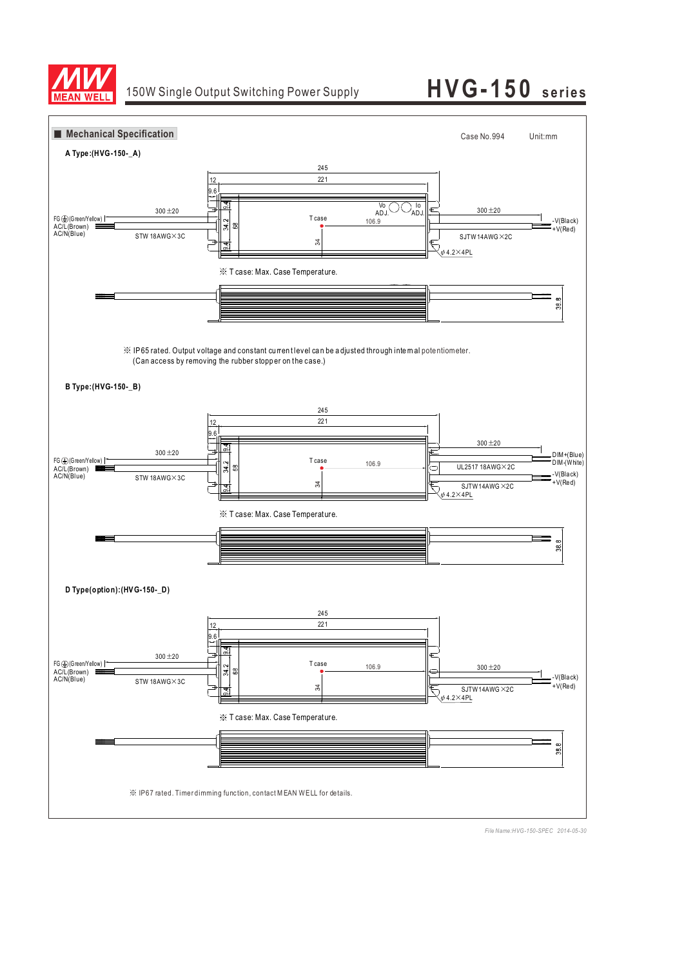

## 150W Single Output Switching Power Supply **H V G-15 0 s e rie s**

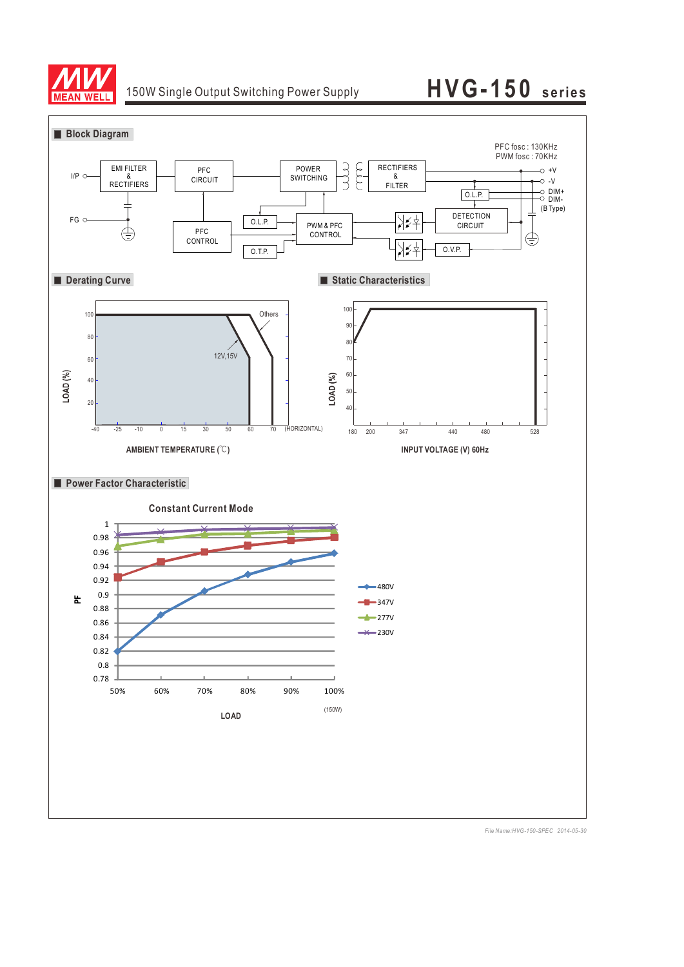

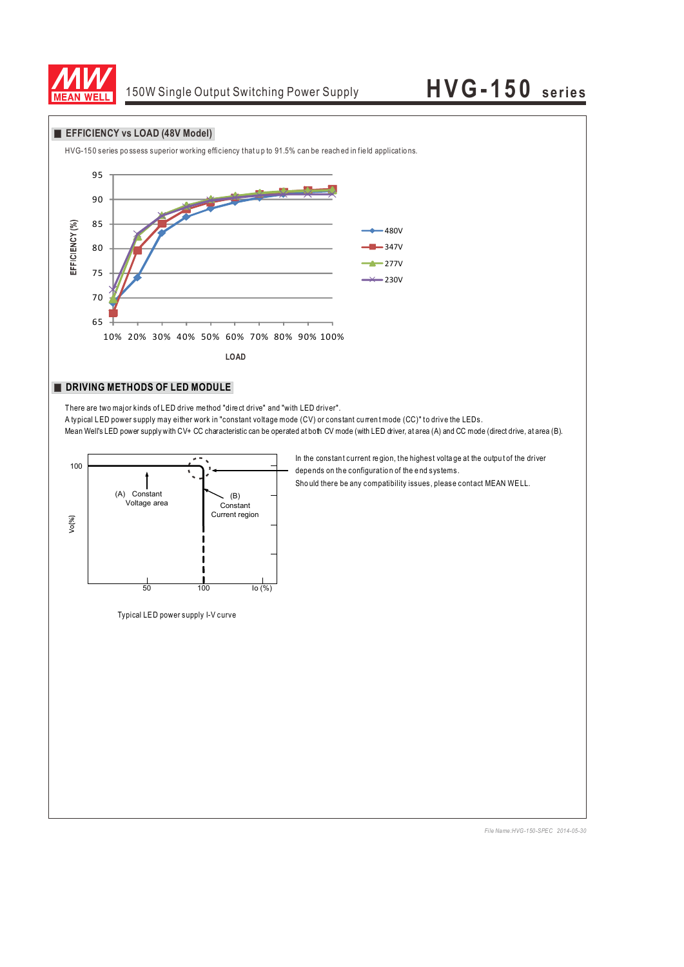

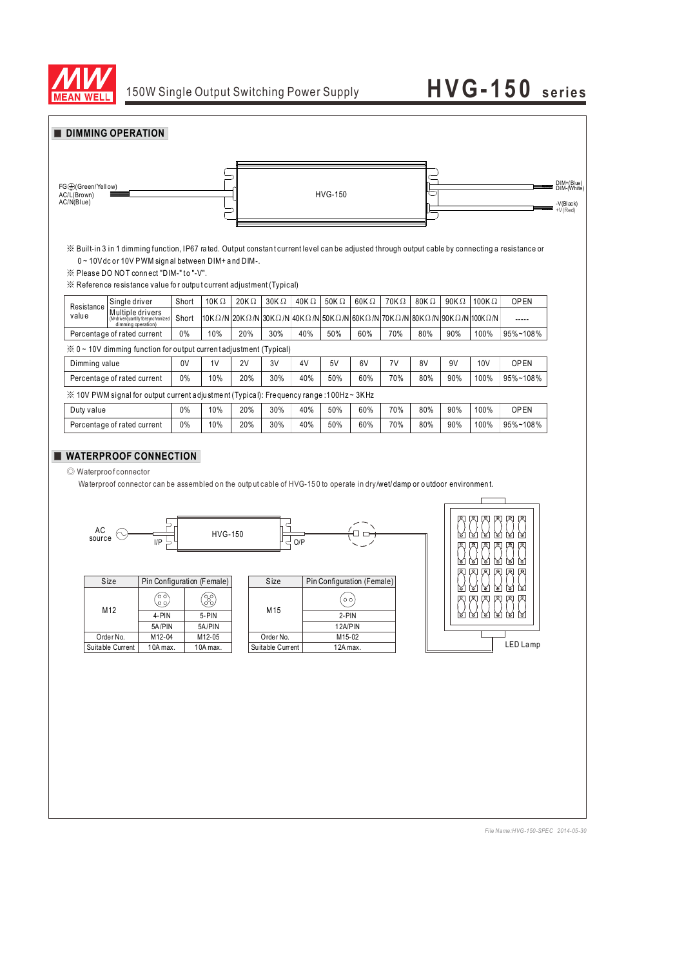